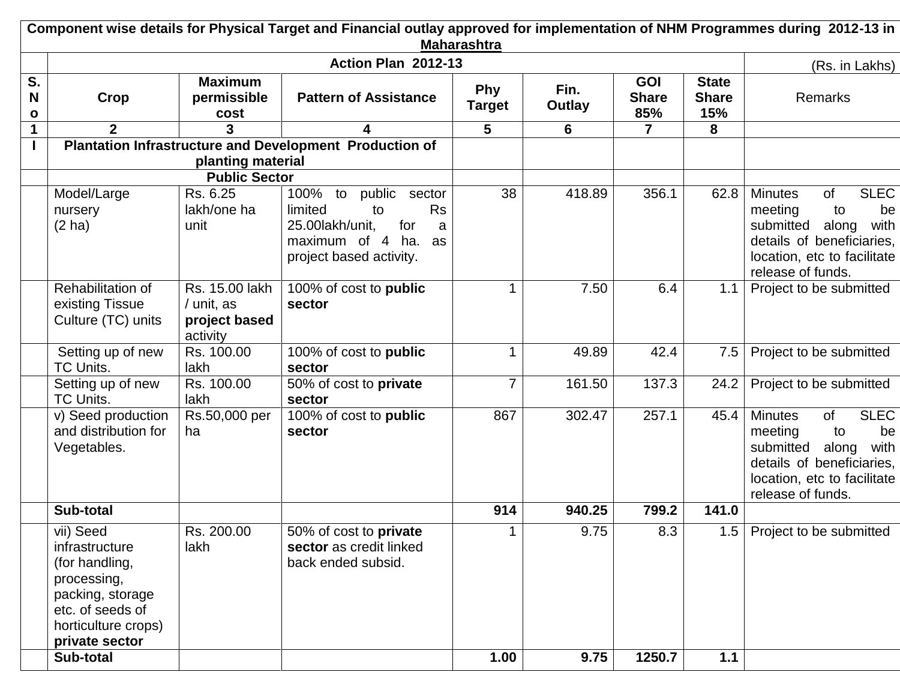|              |                                                                                                                                               |                                                           | Component wise details for Physical Target and Financial outlay approved for implementation of NHM Programmes during 2012-13 in                  | <b>Maharashtra</b> |                |                                   |                                     |                                                                                                                                                                           |
|--------------|-----------------------------------------------------------------------------------------------------------------------------------------------|-----------------------------------------------------------|--------------------------------------------------------------------------------------------------------------------------------------------------|--------------------|----------------|-----------------------------------|-------------------------------------|---------------------------------------------------------------------------------------------------------------------------------------------------------------------------|
|              |                                                                                                                                               |                                                           | Action Plan 2012-13                                                                                                                              |                    |                |                                   |                                     | (Rs. in Lakhs)                                                                                                                                                            |
| S.<br>N<br>o | Crop                                                                                                                                          | <b>Maximum</b><br>permissible<br>cost                     | <b>Pattern of Assistance</b>                                                                                                                     | Phy<br>Target      | Fin.<br>Outlay | <b>GOI</b><br><b>Share</b><br>85% | <b>State</b><br><b>Share</b><br>15% | Remarks                                                                                                                                                                   |
| 1            | $\overline{2}$                                                                                                                                |                                                           | 4                                                                                                                                                | 5                  | 6              | $\overline{7}$                    | 8                                   |                                                                                                                                                                           |
|              |                                                                                                                                               | planting material                                         | <b>Plantation Infrastructure and Development Production of</b>                                                                                   |                    |                |                                   |                                     |                                                                                                                                                                           |
|              |                                                                                                                                               | <b>Public Sector</b>                                      |                                                                                                                                                  |                    |                |                                   |                                     |                                                                                                                                                                           |
|              | Model/Large<br>nursery<br>$(2)$ ha)                                                                                                           | Rs. 6.25<br>lakh/one ha<br>unit                           | 100%<br>public<br>to<br>sector<br>limited<br><b>Rs</b><br>to<br>25.00lakh/unit,<br>for<br>a<br>maximum of 4 ha.<br>as<br>project based activity. | 38                 | 418.89         | 356.1                             | 62.8                                | <b>SLEC</b><br><b>Minutes</b><br>of<br>meeting<br>to<br>be<br>submitted<br>along<br>with<br>details of beneficiaries,<br>location, etc to facilitate<br>release of funds. |
|              | Rehabilitation of<br>existing Tissue<br>Culture (TC) units                                                                                    | Rs. 15.00 lakh<br>/ unit, as<br>project based<br>activity | 100% of cost to public<br>sector                                                                                                                 |                    | 7.50           | 6.4                               | 1.1                                 | Project to be submitted                                                                                                                                                   |
|              | Setting up of new<br>TC Units.                                                                                                                | Rs. 100.00<br>lakh                                        | 100% of cost to public<br>sector                                                                                                                 | 1                  | 49.89          | 42.4                              | 7.5                                 | Project to be submitted                                                                                                                                                   |
|              | Setting up of new<br>TC Units.                                                                                                                | Rs. 100.00<br>lakh                                        | 50% of cost to private<br>sector                                                                                                                 | $\overline{7}$     | 161.50         | 137.3                             | 24.2                                | Project to be submitted                                                                                                                                                   |
|              | v) Seed production<br>and distribution for<br>Vegetables.                                                                                     | Rs.50,000 per<br>ha                                       | 100% of cost to <b>public</b><br>sector                                                                                                          | 867                | 302.47         | 257.1                             | 45.4                                | <b>SLEC</b><br><b>Minutes</b><br>of<br>meeting<br>be<br>to<br>submitted<br>with<br>along<br>details of beneficiaries,<br>location, etc to facilitate<br>release of funds. |
|              | Sub-total                                                                                                                                     |                                                           |                                                                                                                                                  | 914                | 940.25         | 799.2                             | 141.0                               |                                                                                                                                                                           |
|              | vii) Seed<br>infrastructure<br>(for handling,<br>processing,<br>packing, storage<br>etc. of seeds of<br>horticulture crops)<br>private sector | Rs. 200.00<br>lakh                                        | $\overline{50}$ % of cost to private<br>sector as credit linked<br>back ended subsid.                                                            | 1                  | 9.75           | 8.3                               |                                     | 1.5   Project to be submitted                                                                                                                                             |
|              | Sub-total                                                                                                                                     |                                                           |                                                                                                                                                  | 1.00               | 9.75           | 1250.7                            | $1.1$                               |                                                                                                                                                                           |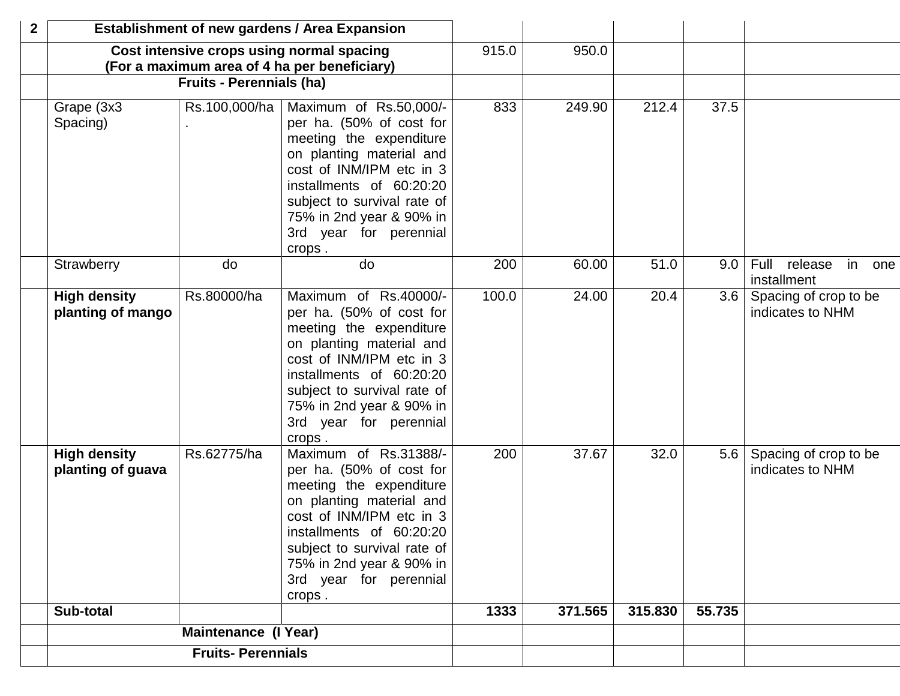| $\boldsymbol{2}$ |                                          |                                 | <b>Establishment of new gardens / Area Expansion</b>                                                                                                                                                                                                             |       |         |         |                  |                                             |
|------------------|------------------------------------------|---------------------------------|------------------------------------------------------------------------------------------------------------------------------------------------------------------------------------------------------------------------------------------------------------------|-------|---------|---------|------------------|---------------------------------------------|
|                  |                                          |                                 | Cost intensive crops using normal spacing<br>(For a maximum area of 4 ha per beneficiary)                                                                                                                                                                        | 915.0 | 950.0   |         |                  |                                             |
|                  |                                          | <b>Fruits - Perennials (ha)</b> |                                                                                                                                                                                                                                                                  |       |         |         |                  |                                             |
|                  | Grape (3x3<br>Spacing)                   | Rs.100,000/ha                   | Maximum of Rs.50,000/-<br>per ha. (50% of cost for<br>meeting the expenditure<br>on planting material and<br>cost of INM/IPM etc in 3<br>installments of 60:20:20<br>subject to survival rate of<br>75% in 2nd year & 90% in<br>3rd year for perennial<br>crops. | 833   | 249.90  | 212.4   | 37.5             |                                             |
|                  | Strawberry                               | do                              | do                                                                                                                                                                                                                                                               | 200   | 60.00   | 51.0    | 9.0              | Full<br>release<br>in<br>one<br>installment |
|                  | <b>High density</b><br>planting of mango | Rs.80000/ha                     | Maximum of Rs.40000/-<br>per ha. (50% of cost for<br>meeting the expenditure<br>on planting material and<br>cost of INM/IPM etc in 3<br>installments of 60:20:20<br>subject to survival rate of<br>75% in 2nd year & 90% in<br>3rd year for perennial<br>crops.  | 100.0 | 24.00   | 20.4    | 3.6              | Spacing of crop to be<br>indicates to NHM   |
|                  | <b>High density</b><br>planting of guava | Rs.62775/ha                     | Maximum of Rs.31388/-<br>per ha. (50% of cost for<br>meeting the expenditure<br>on planting material and<br>cost of INM/IPM etc in 3<br>installments of 60:20:20<br>subject to survival rate of<br>75% in 2nd year & 90% in<br>3rd year for perennial<br>crops.  | 200   | 37.67   | 32.0    | 5.6 <sub>1</sub> | Spacing of crop to be<br>indicates to NHM   |
|                  | Sub-total                                |                                 |                                                                                                                                                                                                                                                                  | 1333  | 371.565 | 315.830 | 55.735           |                                             |
|                  |                                          | <b>Maintenance (I Year)</b>     |                                                                                                                                                                                                                                                                  |       |         |         |                  |                                             |
|                  |                                          | <b>Fruits-Perennials</b>        |                                                                                                                                                                                                                                                                  |       |         |         |                  |                                             |
|                  |                                          |                                 |                                                                                                                                                                                                                                                                  |       |         |         |                  |                                             |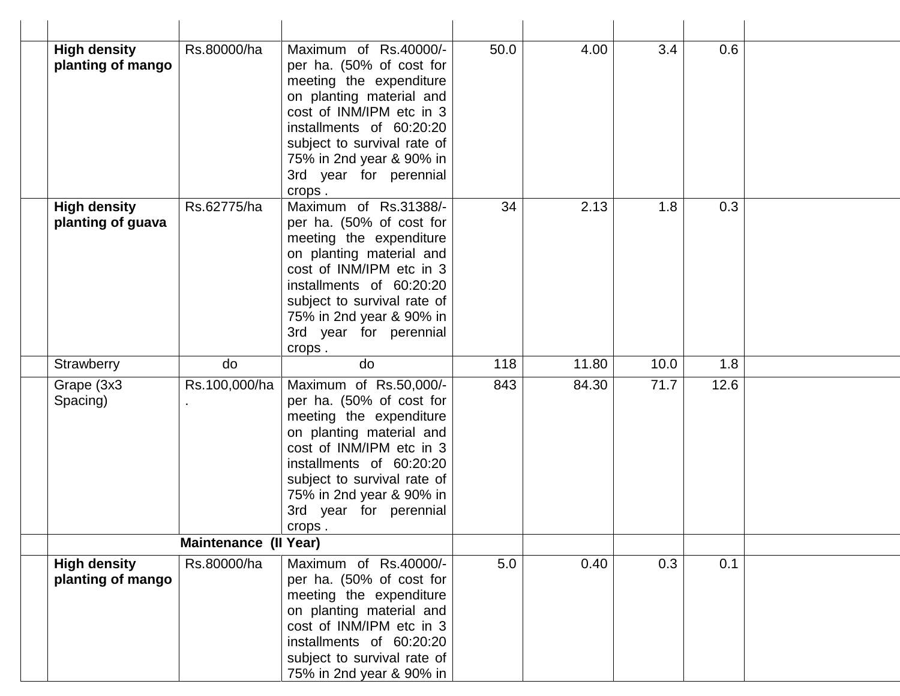| <b>High density</b><br>planting of mango | Rs.80000/ha                  | Maximum of Rs.40000/-<br>per ha. (50% of cost for<br>meeting the expenditure<br>on planting material and<br>cost of INM/IPM etc in 3<br>installments of 60:20:20<br>subject to survival rate of<br>75% in 2nd year & 90% in<br>3rd year for perennial<br>crops.  | 50.0 | 4.00  | 3.4  | 0.6  |  |
|------------------------------------------|------------------------------|------------------------------------------------------------------------------------------------------------------------------------------------------------------------------------------------------------------------------------------------------------------|------|-------|------|------|--|
| <b>High density</b><br>planting of guava | Rs.62775/ha                  | Maximum of Rs.31388/-<br>per ha. (50% of cost for<br>meeting the expenditure<br>on planting material and<br>cost of INM/IPM etc in 3<br>installments of 60:20:20<br>subject to survival rate of<br>75% in 2nd year & 90% in<br>3rd year for perennial<br>crops.  | 34   | 2.13  | 1.8  | 0.3  |  |
| Strawberry                               | do                           | do                                                                                                                                                                                                                                                               | 118  | 11.80 | 10.0 | 1.8  |  |
| Grape (3x3<br>Spacing)                   | Rs.100,000/ha                | Maximum of Rs.50,000/-<br>per ha. (50% of cost for<br>meeting the expenditure<br>on planting material and<br>cost of INM/IPM etc in 3<br>installments of 60:20:20<br>subject to survival rate of<br>75% in 2nd year & 90% in<br>3rd year for perennial<br>crops. | 843  | 84.30 | 71.7 | 12.6 |  |
|                                          | <b>Maintenance (II Year)</b> |                                                                                                                                                                                                                                                                  |      |       |      |      |  |
| <b>High density</b><br>planting of mango | Rs.80000/ha                  | Maximum of Rs.40000/-<br>per ha. (50% of cost for<br>meeting the expenditure<br>on planting material and<br>cost of INM/IPM etc in 3<br>installments of 60:20:20<br>subject to survival rate of<br>75% in 2nd year & 90% in                                      | 5.0  | 0.40  | 0.3  | 0.1  |  |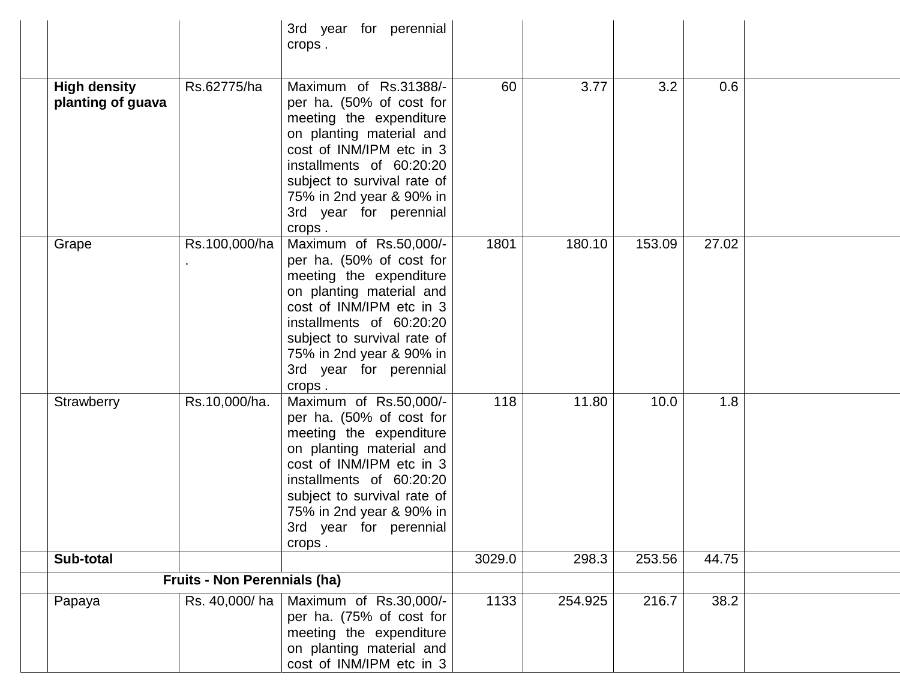|                                          |                                     | 3rd year for perennial<br>crops.                                                                                                                                                                                                                                 |        |         |        |       |  |
|------------------------------------------|-------------------------------------|------------------------------------------------------------------------------------------------------------------------------------------------------------------------------------------------------------------------------------------------------------------|--------|---------|--------|-------|--|
| <b>High density</b><br>planting of guava | Rs.62775/ha                         | Maximum of Rs.31388/-<br>per ha. (50% of cost for<br>meeting the expenditure<br>on planting material and<br>cost of INM/IPM etc in 3<br>installments of 60:20:20<br>subject to survival rate of<br>75% in 2nd year & 90% in<br>3rd year for perennial<br>crops.  | 60     | 3.77    | 3.2    | 0.6   |  |
| Grape                                    | Rs.100,000/ha                       | Maximum of Rs.50,000/-<br>per ha. (50% of cost for<br>meeting the expenditure<br>on planting material and<br>cost of INM/IPM etc in 3<br>installments of 60:20:20<br>subject to survival rate of<br>75% in 2nd year & 90% in<br>3rd year for perennial<br>crops. | 1801   | 180.10  | 153.09 | 27.02 |  |
| Strawberry                               | Rs.10,000/ha.                       | Maximum of Rs.50,000/-<br>per ha. (50% of cost for<br>meeting the expenditure<br>on planting material and<br>cost of INM/IPM etc in 3<br>installments of 60:20:20<br>subject to survival rate of<br>75% in 2nd year & 90% in<br>3rd year for perennial<br>crops. | 118    | 11.80   | 10.0   | 1.8   |  |
| Sub-total                                |                                     |                                                                                                                                                                                                                                                                  | 3029.0 | 298.3   | 253.56 | 44.75 |  |
|                                          | <b>Fruits - Non Perennials (ha)</b> |                                                                                                                                                                                                                                                                  |        |         |        |       |  |
| Papaya                                   | Rs. 40,000/ha                       | Maximum of Rs.30,000/-<br>per ha. (75% of cost for<br>meeting the expenditure<br>on planting material and<br>cost of INM/IPM etc in 3                                                                                                                            | 1133   | 254.925 | 216.7  | 38.2  |  |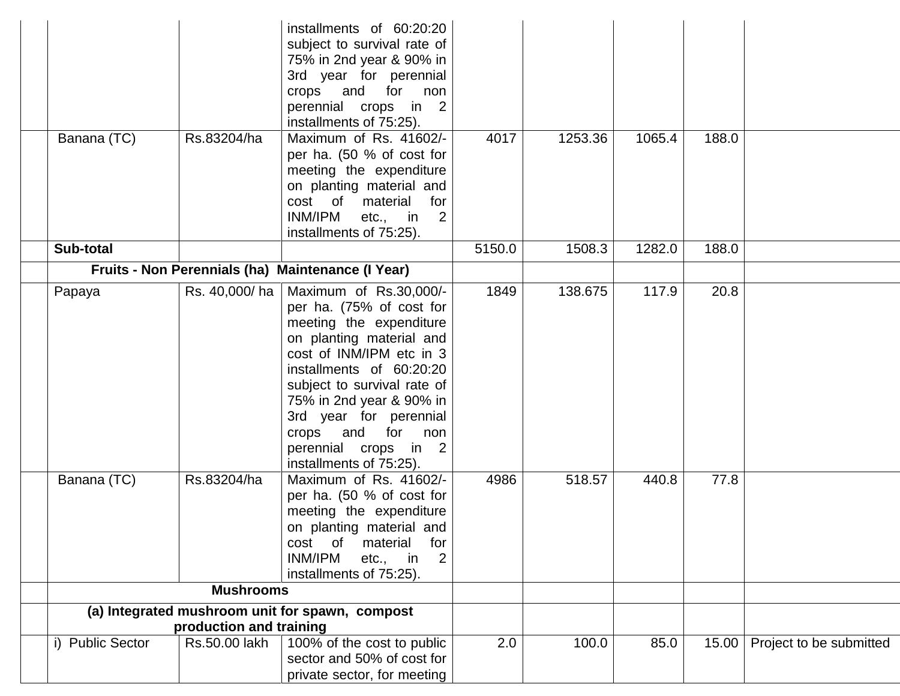|                  |                         | installments of 60:20:20<br>subject to survival rate of<br>75% in 2nd year & 90% in<br>3rd year for perennial<br>crops and for<br>non<br>perennial crops in 2<br>installments of 75:25).                                                                                                                                             |        |         |        |       |                         |
|------------------|-------------------------|--------------------------------------------------------------------------------------------------------------------------------------------------------------------------------------------------------------------------------------------------------------------------------------------------------------------------------------|--------|---------|--------|-------|-------------------------|
| Banana (TC)      | Rs.83204/ha             | Maximum of Rs. 41602/-<br>per ha. (50 % of cost for<br>meeting the expenditure<br>on planting material and<br>cost of<br>material<br>for<br>INM/IPM<br>etc., in<br>$\overline{2}$<br>installments of 75:25).                                                                                                                         | 4017   | 1253.36 | 1065.4 | 188.0 |                         |
| Sub-total        |                         |                                                                                                                                                                                                                                                                                                                                      | 5150.0 | 1508.3  | 1282.0 | 188.0 |                         |
|                  |                         | Fruits - Non Perennials (ha) Maintenance (I Year)                                                                                                                                                                                                                                                                                    |        |         |        |       |                         |
| Papaya           | Rs. 40,000/ha           | Maximum of Rs.30,000/-<br>per ha. (75% of cost for<br>meeting the expenditure<br>on planting material and<br>cost of INM/IPM etc in 3<br>installments of 60:20:20<br>subject to survival rate of<br>75% in 2nd year & 90% in<br>3rd year for perennial<br>crops<br>and for<br>non<br>perennial crops in 2<br>installments of 75:25). | 1849   | 138.675 | 117.9  | 20.8  |                         |
| Banana (TC)      | Rs.83204/ha             | Maximum of Rs. 41602/-<br>per ha. (50 % of cost for<br>meeting the expenditure<br>on planting material and<br>of<br>cost<br>material<br>for<br>INM/IPM<br>$\overline{2}$<br>etc., in<br>installments of 75:25).                                                                                                                      | 4986   | 518.57  | 440.8  | 77.8  |                         |
|                  | <b>Mushrooms</b>        |                                                                                                                                                                                                                                                                                                                                      |        |         |        |       |                         |
|                  | production and training | (a) Integrated mushroom unit for spawn, compost                                                                                                                                                                                                                                                                                      |        |         |        |       |                         |
| i) Public Sector | Rs.50.00 lakh           | 100% of the cost to public<br>sector and 50% of cost for<br>private sector, for meeting                                                                                                                                                                                                                                              | 2.0    | 100.0   | 85.0   | 15.00 | Project to be submitted |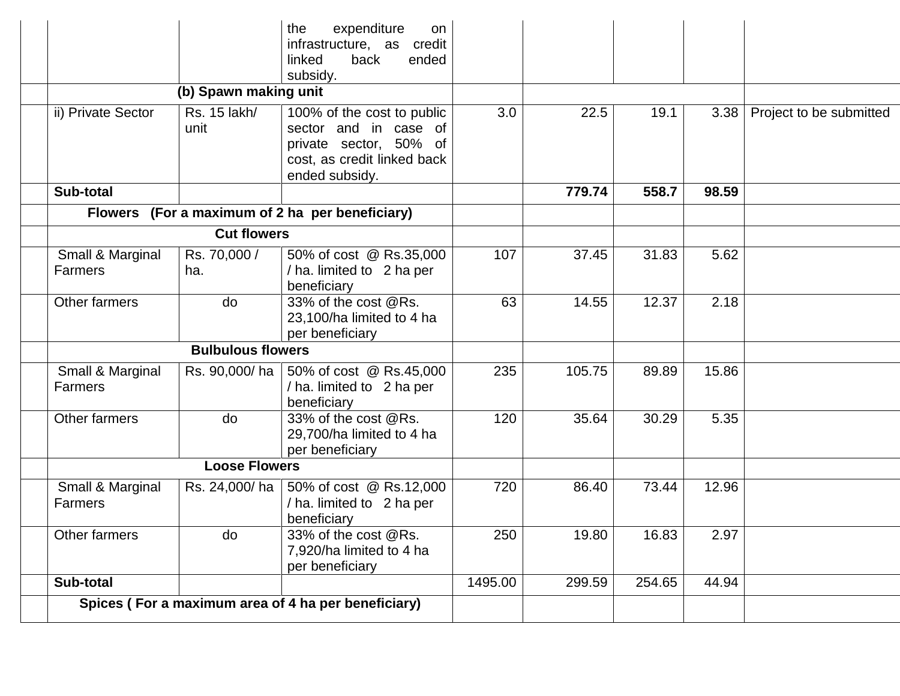| (b) Spawn making unit<br>Rs. 15 lakh/<br>unit<br><b>Cut flowers</b><br>Rs. 70,000 /<br>do | subsidy.<br>100% of the cost to public<br>sector and in case of<br>private sector, 50% of<br>cost, as credit linked back<br>ended subsidy.<br>Flowers (For a maximum of 2 ha per beneficiary)<br>50% of cost @ Rs.35,000<br>/ ha. limited to 2 ha per<br>beneficiary<br>33% of the cost @Rs.<br>23,100/ha limited to 4 ha | 3.0<br>107<br>63     | 22.5<br>779.74<br>37.45<br>14.55 | 19.1<br>558.7<br>31.83 | 3.38<br>98.59<br>5.62                               | Project to be submitted |
|-------------------------------------------------------------------------------------------|---------------------------------------------------------------------------------------------------------------------------------------------------------------------------------------------------------------------------------------------------------------------------------------------------------------------------|----------------------|----------------------------------|------------------------|-----------------------------------------------------|-------------------------|
|                                                                                           |                                                                                                                                                                                                                                                                                                                           |                      |                                  |                        |                                                     |                         |
|                                                                                           |                                                                                                                                                                                                                                                                                                                           |                      |                                  |                        |                                                     |                         |
|                                                                                           |                                                                                                                                                                                                                                                                                                                           |                      |                                  |                        |                                                     |                         |
|                                                                                           |                                                                                                                                                                                                                                                                                                                           |                      |                                  |                        |                                                     |                         |
|                                                                                           |                                                                                                                                                                                                                                                                                                                           |                      |                                  |                        |                                                     |                         |
|                                                                                           |                                                                                                                                                                                                                                                                                                                           |                      |                                  |                        |                                                     |                         |
|                                                                                           | per beneficiary                                                                                                                                                                                                                                                                                                           |                      |                                  | 12.37                  | 2.18                                                |                         |
| <b>Bulbulous flowers</b>                                                                  |                                                                                                                                                                                                                                                                                                                           |                      |                                  |                        |                                                     |                         |
| Rs. 90,000/ha                                                                             | 50% of cost @ Rs.45,000<br>/ ha. limited to 2 ha per<br>beneficiary                                                                                                                                                                                                                                                       | 235                  | 105.75                           | 89.89                  | 15.86                                               |                         |
| do                                                                                        | 33% of the cost @Rs.<br>29,700/ha limited to 4 ha<br>per beneficiary                                                                                                                                                                                                                                                      | 120                  | 35.64                            | 30.29                  | 5.35                                                |                         |
|                                                                                           |                                                                                                                                                                                                                                                                                                                           |                      |                                  |                        |                                                     |                         |
| Rs. 24,000/ha                                                                             | 50% of cost @ Rs.12,000<br>/ ha. limited to 2 ha per<br>beneficiary                                                                                                                                                                                                                                                       | 720                  | 86.40                            | 73.44                  | 12.96                                               |                         |
| do                                                                                        | 33% of the cost @Rs.<br>7,920/ha limited to 4 ha<br>per beneficiary                                                                                                                                                                                                                                                       | 250                  | 19.80                            | 16.83                  | 2.97                                                |                         |
|                                                                                           |                                                                                                                                                                                                                                                                                                                           | 1495.00              | 299.59                           | 254.65                 | 44.94                                               |                         |
|                                                                                           |                                                                                                                                                                                                                                                                                                                           | <b>Loose Flowers</b> |                                  |                        | Spices (For a maximum area of 4 ha per beneficiary) |                         |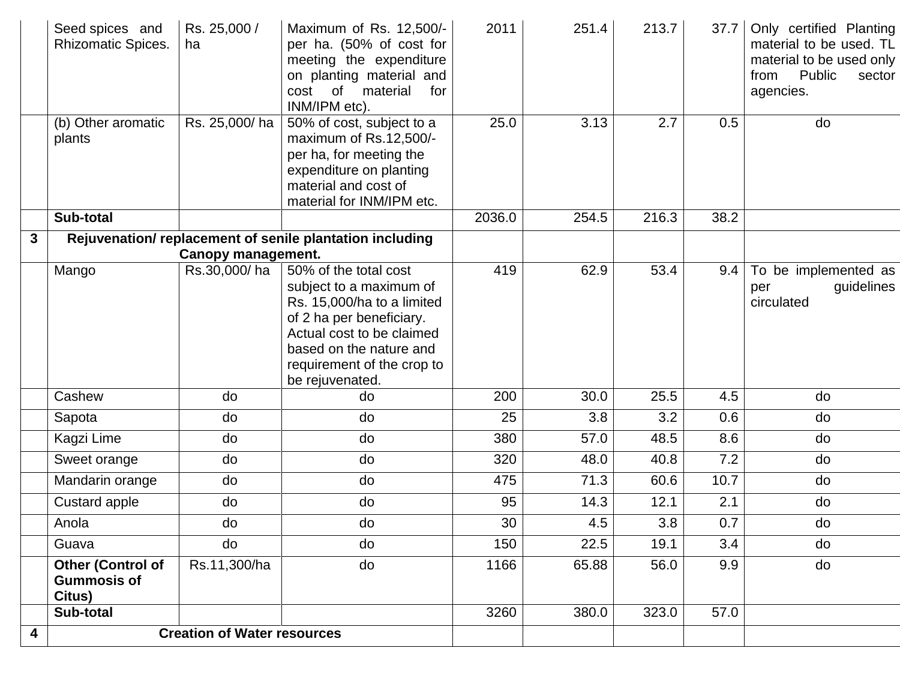|              | Seed spices and<br><b>Rhizomatic Spices.</b>             | Rs. 25,000 /<br>ha                        | Maximum of Rs. 12,500/-<br>per ha. (50% of cost for<br>meeting the expenditure<br>on planting material and<br>cost<br>of<br>material<br>for<br>INM/IPM etc).                               | 2011   | 251.4 | 213.7 | 37.7 | Only certified Planting<br>material to be used. TL<br>material to be used only<br>Public<br>from<br>sector<br>agencies. |
|--------------|----------------------------------------------------------|-------------------------------------------|--------------------------------------------------------------------------------------------------------------------------------------------------------------------------------------------|--------|-------|-------|------|-------------------------------------------------------------------------------------------------------------------------|
|              | (b) Other aromatic<br>plants                             | Rs. 25,000/ha                             | 50% of cost, subject to a<br>maximum of Rs.12,500/-<br>per ha, for meeting the<br>expenditure on planting<br>material and cost of<br>material for INM/IPM etc.                             | 25.0   | 3.13  | 2.7   | 0.5  | do                                                                                                                      |
|              | Sub-total                                                |                                           |                                                                                                                                                                                            | 2036.0 | 254.5 | 216.3 | 38.2 |                                                                                                                         |
| $\mathbf{3}$ |                                                          |                                           | Rejuvenation/ replacement of senile plantation including                                                                                                                                   |        |       |       |      |                                                                                                                         |
|              | Mango                                                    | <b>Canopy management.</b><br>Rs.30,000/ha | 50% of the total cost                                                                                                                                                                      | 419    | 62.9  | 53.4  | 9.4  | To be implemented as                                                                                                    |
|              |                                                          |                                           | subject to a maximum of<br>Rs. 15,000/ha to a limited<br>of 2 ha per beneficiary.<br>Actual cost to be claimed<br>based on the nature and<br>requirement of the crop to<br>be rejuvenated. |        |       |       |      | guidelines<br>per<br>circulated                                                                                         |
|              | Cashew                                                   | do                                        | do                                                                                                                                                                                         | 200    | 30.0  | 25.5  | 4.5  | do                                                                                                                      |
|              | Sapota                                                   | do                                        | do                                                                                                                                                                                         | 25     | 3.8   | 3.2   | 0.6  | do                                                                                                                      |
|              | Kagzi Lime                                               | do                                        | do                                                                                                                                                                                         | 380    | 57.0  | 48.5  | 8.6  | do                                                                                                                      |
|              | Sweet orange                                             | do                                        | do                                                                                                                                                                                         | 320    | 48.0  | 40.8  | 7.2  | do                                                                                                                      |
|              | Mandarin orange                                          | do                                        | do                                                                                                                                                                                         | 475    | 71.3  | 60.6  | 10.7 | do                                                                                                                      |
|              | Custard apple                                            | do                                        | do                                                                                                                                                                                         | 95     | 14.3  | 12.1  | 2.1  | do                                                                                                                      |
|              | Anola                                                    | do                                        | do                                                                                                                                                                                         | 30     | 4.5   | 3.8   | 0.7  | do                                                                                                                      |
|              | Guava                                                    | do                                        | do                                                                                                                                                                                         | 150    | 22.5  | 19.1  | 3.4  | do                                                                                                                      |
|              | <b>Other (Control of</b><br><b>Gummosis of</b><br>Citus) | Rs.11,300/ha                              | do                                                                                                                                                                                         | 1166   | 65.88 | 56.0  | 9.9  | do                                                                                                                      |
|              | Sub-total                                                |                                           |                                                                                                                                                                                            | 3260   | 380.0 | 323.0 | 57.0 |                                                                                                                         |
| 4            |                                                          | <b>Creation of Water resources</b>        |                                                                                                                                                                                            |        |       |       |      |                                                                                                                         |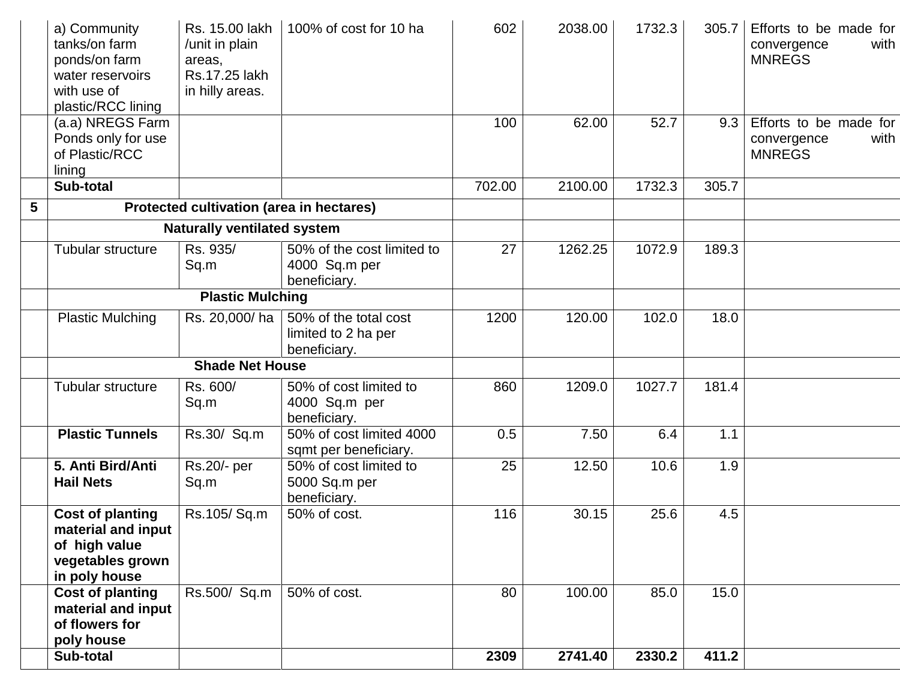|   | a) Community<br>tanks/on farm<br>ponds/on farm<br>water reservoirs<br>with use of<br>plastic/RCC lining | Rs. 15.00 lakh<br>/unit in plain<br>areas,<br>Rs.17.25 lakh<br>in hilly areas. | 100% of cost for 10 ha                                       | 602    | 2038.00 | 1732.3 | 305.7 | Efforts to be made for<br>with<br>convergence<br><b>MNREGS</b> |
|---|---------------------------------------------------------------------------------------------------------|--------------------------------------------------------------------------------|--------------------------------------------------------------|--------|---------|--------|-------|----------------------------------------------------------------|
|   | (a.a) NREGS Farm<br>Ponds only for use<br>of Plastic/RCC<br>lining                                      |                                                                                |                                                              | 100    | 62.00   | 52.7   | 9.3   | Efforts to be made for<br>convergence<br>with<br><b>MNREGS</b> |
|   | Sub-total                                                                                               |                                                                                |                                                              | 702.00 | 2100.00 | 1732.3 | 305.7 |                                                                |
| 5 |                                                                                                         | Protected cultivation (area in hectares)                                       |                                                              |        |         |        |       |                                                                |
|   |                                                                                                         | <b>Naturally ventilated system</b>                                             |                                                              |        |         |        |       |                                                                |
|   | Tubular structure                                                                                       | Rs. 935/<br>Sq.m                                                               | 50% of the cost limited to<br>4000 Sq.m per<br>beneficiary.  | 27     | 1262.25 | 1072.9 | 189.3 |                                                                |
|   |                                                                                                         | <b>Plastic Mulching</b>                                                        |                                                              |        |         |        |       |                                                                |
|   | <b>Plastic Mulching</b>                                                                                 | Rs. 20,000/ha                                                                  | 50% of the total cost<br>limited to 2 ha per<br>beneficiary. | 1200   | 120.00  | 102.0  | 18.0  |                                                                |
|   |                                                                                                         | <b>Shade Net House</b>                                                         |                                                              |        |         |        |       |                                                                |
|   | Tubular structure                                                                                       | Rs. 600/<br>Sq.m                                                               | 50% of cost limited to<br>4000 Sq.m per<br>beneficiary.      | 860    | 1209.0  | 1027.7 | 181.4 |                                                                |
|   | <b>Plastic Tunnels</b>                                                                                  | Rs.30/ Sq.m                                                                    | 50% of cost limited 4000<br>sqmt per beneficiary.            | 0.5    | 7.50    | 6.4    | 1.1   |                                                                |
|   | 5. Anti Bird/Anti<br><b>Hail Nets</b>                                                                   | Rs.20/- per<br>Sq.m                                                            | 50% of cost limited to<br>5000 Sq.m per<br>beneficiary.      | 25     | 12.50   | 10.6   | 1.9   |                                                                |
|   | <b>Cost of planting</b><br>material and input<br>of high value<br>vegetables grown<br>in poly house     | Rs.105/Sq.m                                                                    | 50% of cost.                                                 | 116    | 30.15   | 25.6   | 4.5   |                                                                |
|   | <b>Cost of planting</b><br>material and input<br>of flowers for<br>poly house                           | Rs.500/ Sq.m                                                                   | 50% of cost.                                                 | 80     | 100.00  | 85.0   | 15.0  |                                                                |
|   | Sub-total                                                                                               |                                                                                |                                                              | 2309   | 2741.40 | 2330.2 | 411.2 |                                                                |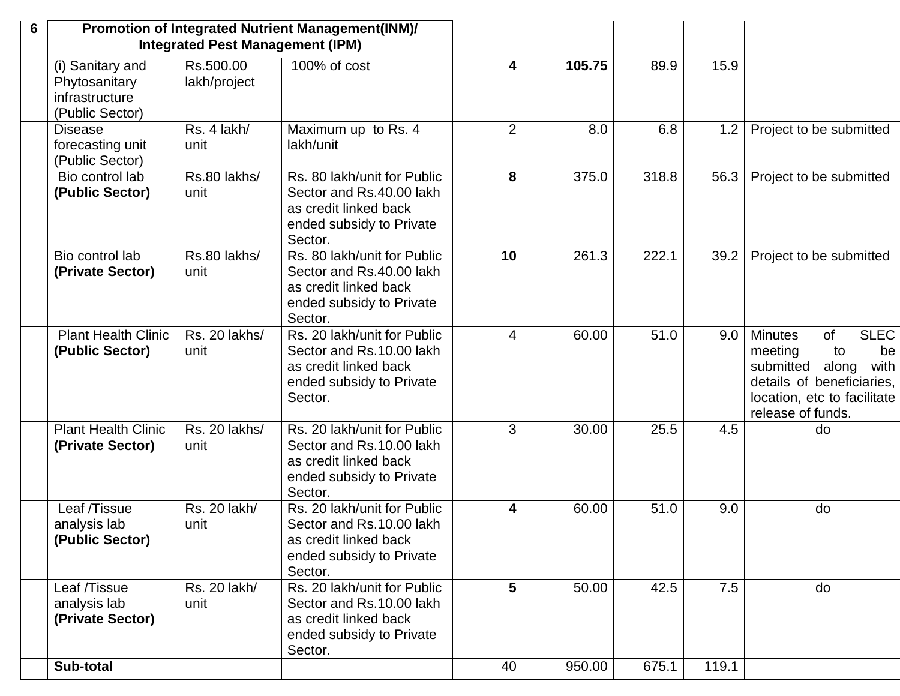| 6                                                                      | <b>Integrated Pest Management (IPM)</b> | Promotion of Integrated Nutrient Management(INM)/                                                                       |                |        |       |       |                                                                                                                                                                                  |
|------------------------------------------------------------------------|-----------------------------------------|-------------------------------------------------------------------------------------------------------------------------|----------------|--------|-------|-------|----------------------------------------------------------------------------------------------------------------------------------------------------------------------------------|
| (i) Sanitary and<br>Phytosanitary<br>infrastructure<br>(Public Sector) | Rs.500.00<br>lakh/project               | 100% of cost                                                                                                            | 4              | 105.75 | 89.9  | 15.9  |                                                                                                                                                                                  |
| <b>Disease</b><br>forecasting unit<br>(Public Sector)                  | Rs. 4 lakh/<br>unit                     | Maximum up to Rs. 4<br>lakh/unit                                                                                        | $\overline{2}$ | 8.0    | 6.8   | 1.2   | Project to be submitted                                                                                                                                                          |
| Bio control lab<br>(Public Sector)                                     | Rs.80 lakhs/<br>unit                    | Rs. 80 lakh/unit for Public<br>Sector and Rs.40.00 lakh<br>as credit linked back<br>ended subsidy to Private<br>Sector. | 8              | 375.0  | 318.8 | 56.3  | Project to be submitted                                                                                                                                                          |
| Bio control lab<br>(Private Sector)                                    | Rs.80 lakhs/<br>unit                    | Rs. 80 lakh/unit for Public<br>Sector and Rs.40.00 lakh<br>as credit linked back<br>ended subsidy to Private<br>Sector. | 10             | 261.3  | 222.1 | 39.2  | Project to be submitted                                                                                                                                                          |
| <b>Plant Health Clinic</b><br>(Public Sector)                          | Rs. 20 lakhs/<br>unit                   | Rs. 20 lakh/unit for Public<br>Sector and Rs.10.00 lakh<br>as credit linked back<br>ended subsidy to Private<br>Sector. | $\overline{4}$ | 60.00  | 51.0  | 9.0   | <b>SLEC</b><br><b>Minutes</b><br><b>of</b><br>meeting<br>be<br>to<br>submitted<br>with<br>along<br>details of beneficiaries,<br>location, etc to facilitate<br>release of funds. |
| <b>Plant Health Clinic</b><br>(Private Sector)                         | Rs. 20 lakhs/<br>unit                   | Rs. 20 lakh/unit for Public<br>Sector and Rs.10.00 lakh<br>as credit linked back<br>ended subsidy to Private<br>Sector. | 3              | 30.00  | 25.5  | 4.5   | do                                                                                                                                                                               |
| Leaf /Tissue<br>analysis lab<br>(Public Sector)                        | Rs. 20 lakh/<br>unit                    | Rs. 20 lakh/unit for Public<br>Sector and Rs.10.00 lakh<br>as credit linked back<br>ended subsidy to Private<br>Sector. | 4              | 60.00  | 51.0  | 9.0   | do                                                                                                                                                                               |
| Leaf /Tissue<br>analysis lab<br>(Private Sector)                       | Rs. 20 lakh/<br>unit                    | Rs. 20 lakh/unit for Public<br>Sector and Rs.10.00 lakh<br>as credit linked back<br>ended subsidy to Private<br>Sector. | 5              | 50.00  | 42.5  | 7.5   | do                                                                                                                                                                               |
| Sub-total                                                              |                                         |                                                                                                                         | 40             | 950.00 | 675.1 | 119.1 |                                                                                                                                                                                  |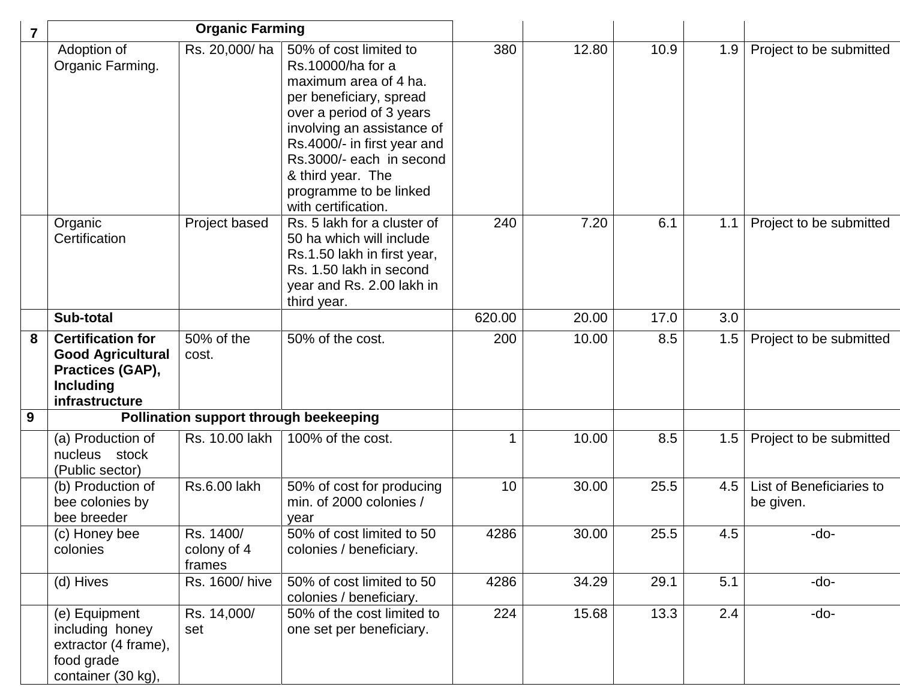| 7 |                                                                                                                | <b>Organic Farming</b>             |                                                                                                                                                                                                                                                                                            |        |       |      |     |                                       |
|---|----------------------------------------------------------------------------------------------------------------|------------------------------------|--------------------------------------------------------------------------------------------------------------------------------------------------------------------------------------------------------------------------------------------------------------------------------------------|--------|-------|------|-----|---------------------------------------|
|   | Adoption of<br>Organic Farming.                                                                                | Rs. 20,000/ha                      | 50% of cost limited to<br>Rs.10000/ha for a<br>maximum area of 4 ha.<br>per beneficiary, spread<br>over a period of 3 years<br>involving an assistance of<br>Rs.4000/- in first year and<br>Rs.3000/- each in second<br>& third year. The<br>programme to be linked<br>with certification. | 380    | 12.80 | 10.9 | 1.9 | Project to be submitted               |
|   | Organic<br>Certification                                                                                       | Project based                      | Rs. 5 lakh for a cluster of<br>50 ha which will include<br>Rs.1.50 lakh in first year,<br>Rs. 1.50 lakh in second<br>year and Rs. 2.00 lakh in<br>third year.                                                                                                                              | 240    | 7.20  | 6.1  | 1.1 | Project to be submitted               |
|   | Sub-total                                                                                                      |                                    |                                                                                                                                                                                                                                                                                            | 620.00 | 20.00 | 17.0 | 3.0 |                                       |
| 8 | <b>Certification for</b><br><b>Good Agricultural</b><br>Practices (GAP),<br><b>Including</b><br>infrastructure | 50% of the<br>cost.                | 50% of the cost.                                                                                                                                                                                                                                                                           | 200    | 10.00 | 8.5  | 1.5 | Project to be submitted               |
| 9 |                                                                                                                |                                    | Pollination support through beekeeping                                                                                                                                                                                                                                                     |        |       |      |     |                                       |
|   | (a) Production of<br>nucleus stock<br>(Public sector)                                                          | Rs. 10.00 lakh                     | 100% of the cost.                                                                                                                                                                                                                                                                          |        | 10.00 | 8.5  | 1.5 | Project to be submitted               |
|   | (b) Production of<br>bee colonies by<br>bee breeder                                                            | <b>Rs.6.00 lakh</b>                | 50% of cost for producing<br>min. of 2000 colonies /<br>year                                                                                                                                                                                                                               | 10     | 30.00 | 25.5 | 4.5 | List of Beneficiaries to<br>be given. |
|   | (c) Honey bee<br>colonies                                                                                      | Rs. 1400/<br>colony of 4<br>frames | 50% of cost limited to 50<br>colonies / beneficiary.                                                                                                                                                                                                                                       | 4286   | 30.00 | 25.5 | 4.5 | -do-                                  |
|   | (d) Hives                                                                                                      | Rs. 1600/hive                      | 50% of cost limited to 50<br>colonies / beneficiary.                                                                                                                                                                                                                                       | 4286   | 34.29 | 29.1 | 5.1 | -do-                                  |
|   | (e) Equipment<br>including honey<br>extractor (4 frame),<br>food grade<br>container (30 kg),                   | Rs. 14,000/<br>set                 | 50% of the cost limited to<br>one set per beneficiary.                                                                                                                                                                                                                                     | 224    | 15.68 | 13.3 | 2.4 | -do-                                  |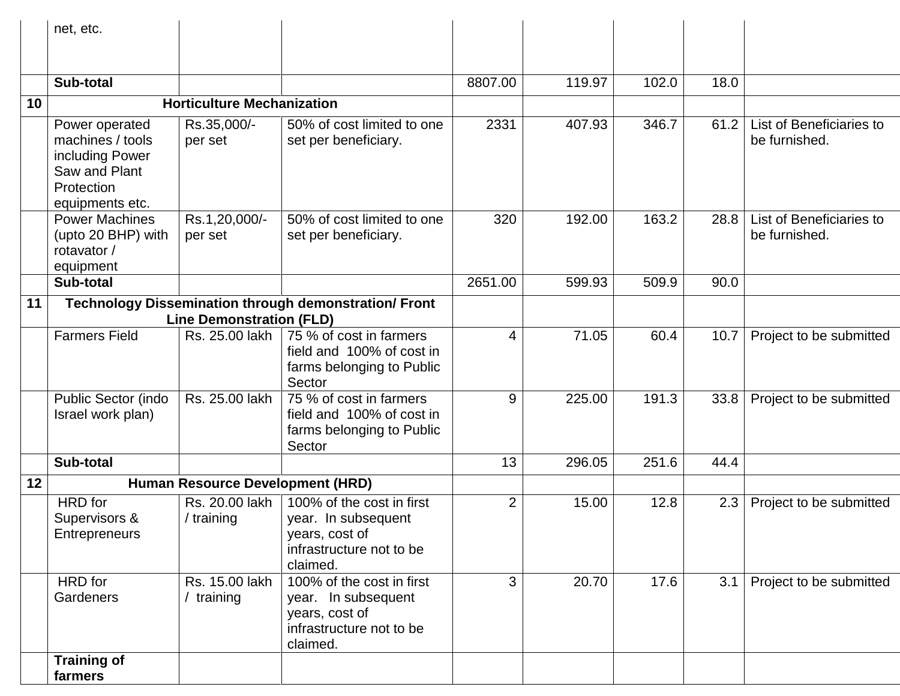|    | net, etc.                                                                                               |                                   |                                                                                                            |                |        |       |      |                                           |
|----|---------------------------------------------------------------------------------------------------------|-----------------------------------|------------------------------------------------------------------------------------------------------------|----------------|--------|-------|------|-------------------------------------------|
|    |                                                                                                         |                                   |                                                                                                            |                |        |       |      |                                           |
|    | Sub-total                                                                                               |                                   |                                                                                                            | 8807.00        | 119.97 | 102.0 | 18.0 |                                           |
| 10 |                                                                                                         | <b>Horticulture Mechanization</b> |                                                                                                            |                |        |       |      |                                           |
|    | Power operated<br>machines / tools<br>including Power<br>Saw and Plant<br>Protection<br>equipments etc. | Rs.35,000/-<br>per set            | 50% of cost limited to one<br>set per beneficiary.                                                         | 2331           | 407.93 | 346.7 | 61.2 | List of Beneficiaries to<br>be furnished. |
|    | <b>Power Machines</b><br>(upto 20 BHP) with<br>rotavator /<br>equipment                                 | Rs.1,20,000/-<br>per set          | 50% of cost limited to one<br>set per beneficiary.                                                         | 320            | 192.00 | 163.2 | 28.8 | List of Beneficiaries to<br>be furnished. |
|    | Sub-total                                                                                               |                                   |                                                                                                            | 2651.00        | 599.93 | 509.9 | 90.0 |                                           |
| 11 |                                                                                                         | <b>Line Demonstration (FLD)</b>   | <b>Technology Dissemination through demonstration/ Front</b>                                               |                |        |       |      |                                           |
|    | <b>Farmers Field</b>                                                                                    | Rs. 25.00 lakh                    | 75 % of cost in farmers<br>field and 100% of cost in<br>farms belonging to Public<br>Sector                | $\overline{4}$ | 71.05  | 60.4  | 10.7 | Project to be submitted                   |
|    | Public Sector (indo<br>Israel work plan)                                                                | Rs. 25.00 lakh                    | 75 % of cost in farmers<br>field and 100% of cost in<br>farms belonging to Public<br>Sector                | 9              | 225.00 | 191.3 | 33.8 | Project to be submitted                   |
|    | Sub-total                                                                                               |                                   |                                                                                                            | 13             | 296.05 | 251.6 | 44.4 |                                           |
| 12 |                                                                                                         | Human Resource Development (HRD)  |                                                                                                            |                |        |       |      |                                           |
|    | HRD for<br>Supervisors &<br><b>Entrepreneurs</b>                                                        | Rs. 20.00 lakh<br>/ training      | 100% of the cost in first<br>year. In subsequent<br>years, cost of<br>infrastructure not to be<br>claimed. | $\overline{2}$ | 15.00  | 12.8  | 2.3  | Project to be submitted                   |
|    | HRD for<br>Gardeners                                                                                    | Rs. 15.00 lakh<br>training        | 100% of the cost in first<br>year. In subsequent<br>years, cost of<br>infrastructure not to be<br>claimed. | 3              | 20.70  | 17.6  | 3.1  | Project to be submitted                   |
|    | <b>Training of</b><br>farmers                                                                           |                                   |                                                                                                            |                |        |       |      |                                           |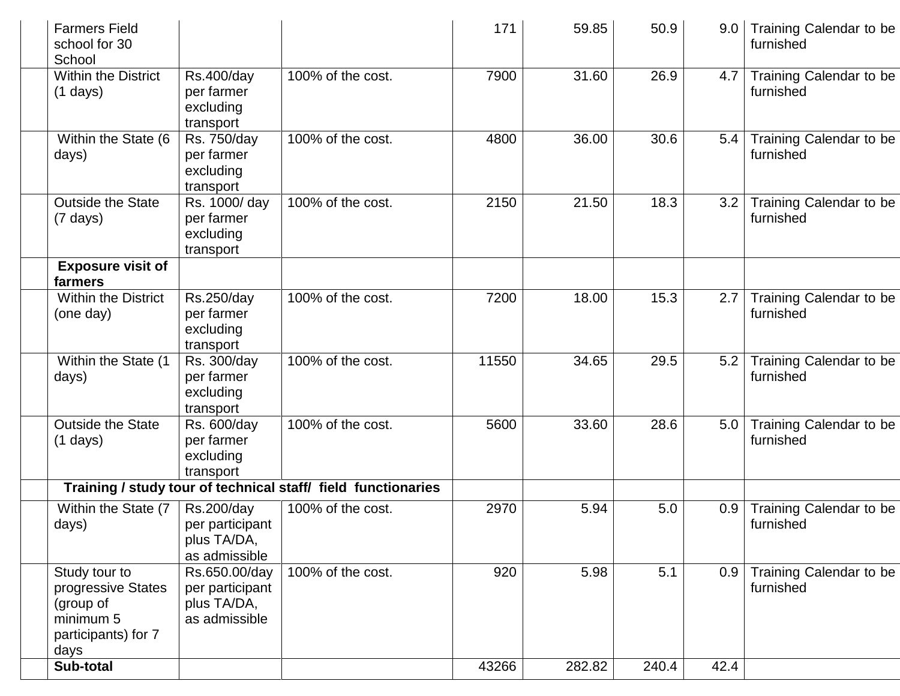| <b>Farmers Field</b><br>school for 30<br>School                                              |                                                                  |                                                               | 171   | 59.85  | 50.9  | 9.0  | Training Calendar to be<br>furnished |
|----------------------------------------------------------------------------------------------|------------------------------------------------------------------|---------------------------------------------------------------|-------|--------|-------|------|--------------------------------------|
| <b>Within the District</b><br>$(1 \text{ days})$                                             | <b>Rs.400/day</b><br>per farmer<br>excluding<br>transport        | 100% of the cost.                                             | 7900  | 31.60  | 26.9  | 4.7  | Training Calendar to be<br>furnished |
| Within the State (6<br>days)                                                                 | Rs. 750/day<br>per farmer<br>excluding<br>transport              | 100% of the cost.                                             | 4800  | 36.00  | 30.6  | 5.4  | Training Calendar to be<br>furnished |
| <b>Outside the State</b><br>$(7 \text{ days})$                                               | Rs. 1000/ day<br>per farmer<br>excluding<br>transport            | 100% of the cost.                                             | 2150  | 21.50  | 18.3  | 3.2  | Training Calendar to be<br>furnished |
| <b>Exposure visit of</b><br>farmers                                                          |                                                                  |                                                               |       |        |       |      |                                      |
| <b>Within the District</b><br>(one day)                                                      | Rs.250/day<br>per farmer<br>excluding<br>transport               | 100% of the cost.                                             | 7200  | 18.00  | 15.3  | 2.7  | Training Calendar to be<br>furnished |
| Within the State (1<br>days)                                                                 | Rs. 300/day<br>per farmer<br>excluding<br>transport              | 100% of the cost.                                             | 11550 | 34.65  | 29.5  | 5.2  | Training Calendar to be<br>furnished |
| <b>Outside the State</b><br>$(1 \text{ days})$                                               | Rs. 600/day<br>per farmer<br>excluding<br>transport              | 100% of the cost.                                             | 5600  | 33.60  | 28.6  | 5.0  | Training Calendar to be<br>furnished |
|                                                                                              |                                                                  | Training / study tour of technical staff/ field functionaries |       |        |       |      |                                      |
| Within the State (7<br>days)                                                                 | Rs.200/day<br>per participant<br>plus TA/DA,<br>as admissible    | 100% of the cost.                                             | 2970  | 5.94   | 5.0   | 0.9  | Training Calendar to be<br>furnished |
| Study tour to<br>progressive States<br>(group of<br>minimum 5<br>participants) for 7<br>days | Rs.650.00/day<br>per participant<br>plus TA/DA,<br>as admissible | 100% of the cost.                                             | 920   | 5.98   | 5.1   | 0.9  | Training Calendar to be<br>furnished |
| Sub-total                                                                                    |                                                                  |                                                               | 43266 | 282.82 | 240.4 | 42.4 |                                      |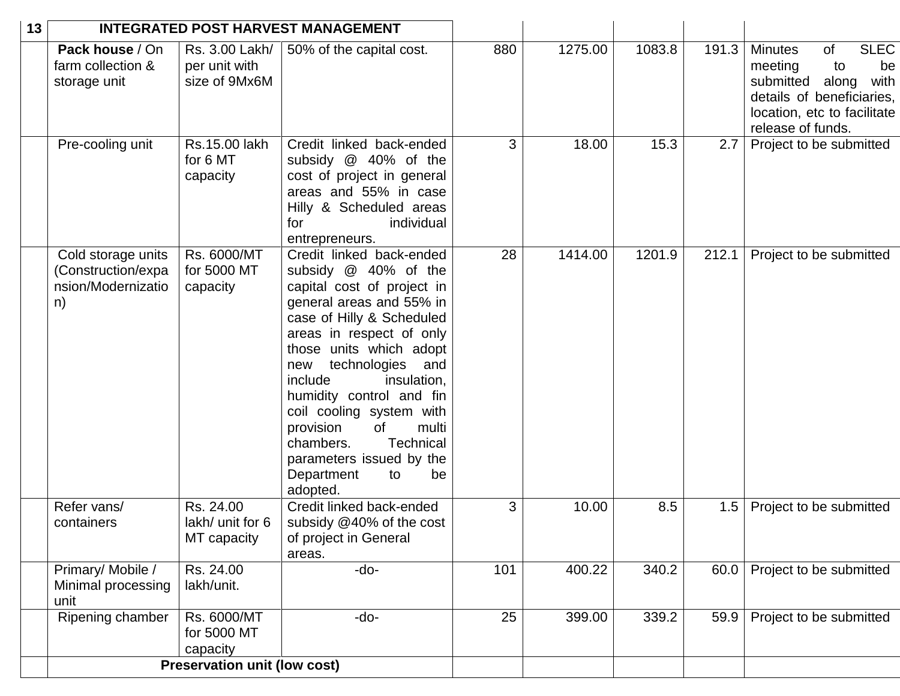| 13 | <b>INTEGRATED POST HARVEST MANAGEMENT</b>                            |                                                  |                                                                                                                                                                                                                                                                                                                                                                                                                                  |     |         |        |       |                                                                                                                                                                        |
|----|----------------------------------------------------------------------|--------------------------------------------------|----------------------------------------------------------------------------------------------------------------------------------------------------------------------------------------------------------------------------------------------------------------------------------------------------------------------------------------------------------------------------------------------------------------------------------|-----|---------|--------|-------|------------------------------------------------------------------------------------------------------------------------------------------------------------------------|
|    | Pack house / On<br>farm collection &<br>storage unit                 | Rs. 3.00 Lakh/<br>per unit with<br>size of 9Mx6M | 50% of the capital cost.                                                                                                                                                                                                                                                                                                                                                                                                         | 880 | 1275.00 | 1083.8 | 191.3 | <b>SLEC</b><br><b>Minutes</b><br>of<br>meeting<br>to<br>be<br>submitted along<br>with<br>details of beneficiaries,<br>location, etc to facilitate<br>release of funds. |
|    | Pre-cooling unit                                                     | Rs.15.00 lakh<br>for 6 MT<br>capacity            | Credit linked back-ended<br>subsidy @ 40% of the<br>cost of project in general<br>areas and 55% in case<br>Hilly & Scheduled areas<br>individual<br>for<br>entrepreneurs.                                                                                                                                                                                                                                                        | 3   | 18.00   | 15.3   | 2.7   | Project to be submitted                                                                                                                                                |
|    | Cold storage units<br>(Construction/expa<br>nsion/Modernizatio<br>n) | Rs. 6000/MT<br>for 5000 MT<br>capacity           | Credit linked back-ended<br>subsidy @ 40% of the<br>capital cost of project in<br>general areas and 55% in<br>case of Hilly & Scheduled<br>areas in respect of only<br>those units which adopt<br>new technologies and<br>include<br>insulation,<br>humidity control and fin<br>coil cooling system with<br>of<br>multi<br>provision<br>chambers.<br>Technical<br>parameters issued by the<br>Department<br>to<br>be<br>adopted. | 28  | 1414.00 | 1201.9 | 212.1 | Project to be submitted                                                                                                                                                |
|    | Refer vans/<br>containers                                            | Rs. 24.00<br>lakh/ unit for 6<br>MT capacity     | Credit linked back-ended<br>subsidy @40% of the cost<br>of project in General<br>areas.                                                                                                                                                                                                                                                                                                                                          | 3   | 10.00   | 8.5    | 1.5   | Project to be submitted                                                                                                                                                |
|    | Primary/Mobile /<br>Minimal processing<br>unit                       | Rs. 24.00<br>lakh/unit.                          | -do-                                                                                                                                                                                                                                                                                                                                                                                                                             | 101 | 400.22  | 340.2  | 60.0  | Project to be submitted                                                                                                                                                |
|    | Ripening chamber                                                     | Rs. 6000/MT<br>for 5000 MT<br>capacity           | -do-                                                                                                                                                                                                                                                                                                                                                                                                                             | 25  | 399.00  | 339.2  | 59.9  | Project to be submitted                                                                                                                                                |
|    | <b>Preservation unit (low cost)</b>                                  |                                                  |                                                                                                                                                                                                                                                                                                                                                                                                                                  |     |         |        |       |                                                                                                                                                                        |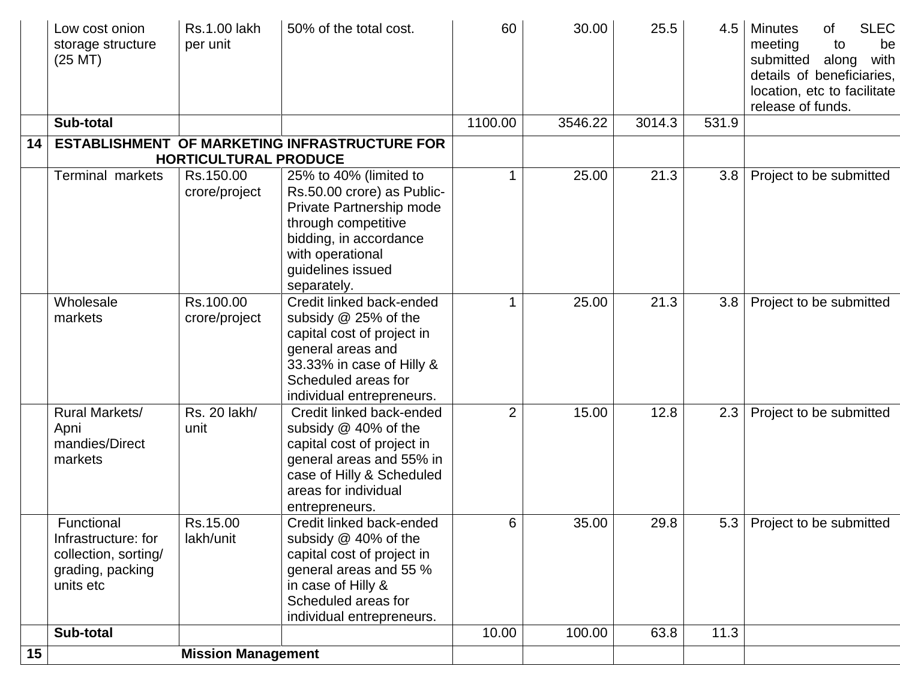|    | Low cost onion<br>storage structure<br>(25 MT)                                             | <b>Rs.1.00 lakh</b><br>per unit | 50% of the total cost.                                                                                                                                                                    | 60             | 30.00   | 25.5   | 4.5   | <b>SLEC</b><br><b>Minutes</b><br>of<br>meeting<br>to<br>be<br>submitted<br>with<br>along<br>details of beneficiaries,<br>location, etc to facilitate<br>release of funds. |
|----|--------------------------------------------------------------------------------------------|---------------------------------|-------------------------------------------------------------------------------------------------------------------------------------------------------------------------------------------|----------------|---------|--------|-------|---------------------------------------------------------------------------------------------------------------------------------------------------------------------------|
|    | Sub-total                                                                                  |                                 |                                                                                                                                                                                           | 1100.00        | 3546.22 | 3014.3 | 531.9 |                                                                                                                                                                           |
| 14 |                                                                                            | <b>HORTICULTURAL PRODUCE</b>    | <b>ESTABLISHMENT OF MARKETING INFRASTRUCTURE FOR</b>                                                                                                                                      |                |         |        |       |                                                                                                                                                                           |
|    | <b>Terminal markets</b>                                                                    | Rs.150.00<br>crore/project      | 25% to 40% (limited to<br>Rs.50.00 crore) as Public-<br>Private Partnership mode<br>through competitive<br>bidding, in accordance<br>with operational<br>guidelines issued<br>separately. |                | 25.00   | 21.3   | 3.8   | Project to be submitted                                                                                                                                                   |
|    | Wholesale<br>markets                                                                       | Rs.100.00<br>crore/project      | Credit linked back-ended<br>subsidy @ 25% of the<br>capital cost of project in<br>general areas and<br>33.33% in case of Hilly &<br>Scheduled areas for<br>individual entrepreneurs.      | 1              | 25.00   | 21.3   | 3.8   | Project to be submitted                                                                                                                                                   |
|    | Rural Markets/<br>Apni<br>mandies/Direct<br>markets                                        | Rs. 20 lakh/<br>unit            | Credit linked back-ended<br>subsidy @ 40% of the<br>capital cost of project in<br>general areas and 55% in<br>case of Hilly & Scheduled<br>areas for individual<br>entrepreneurs.         | $\overline{2}$ | 15.00   | 12.8   | 2.3   | Project to be submitted                                                                                                                                                   |
|    | Functional<br>Infrastructure: for<br>collection, sorting/<br>grading, packing<br>units etc | Rs.15.00<br>lakh/unit           | Credit linked back-ended<br>subsidy @ 40% of the<br>capital cost of project in<br>general areas and 55 %<br>in case of Hilly &<br>Scheduled areas for<br>individual entrepreneurs.        | 6              | 35.00   | 29.8   | 5.3   | Project to be submitted                                                                                                                                                   |
|    | Sub-total                                                                                  |                                 |                                                                                                                                                                                           | 10.00          | 100.00  | 63.8   | 11.3  |                                                                                                                                                                           |
| 15 | <b>Mission Management</b>                                                                  |                                 |                                                                                                                                                                                           |                |         |        |       |                                                                                                                                                                           |